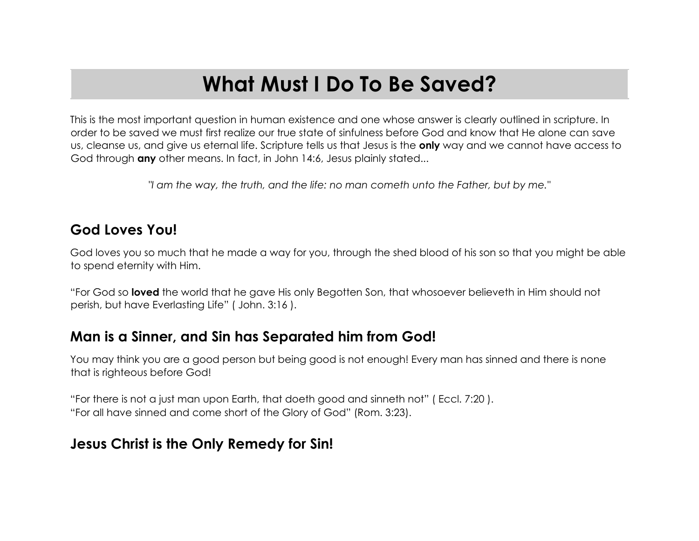# **What Must I Do To Be Saved?**

This is the most important question in human existence and one whose answer is clearly outlined in scripture. In order to be saved we must first realize our true state of sinfulness before God and know that He alone can save us, cleanse us, and give us eternal life. Scripture tells us that Jesus is the **only** way and we cannot have access to God through **any** other means. In fact, in John 14:6, Jesus plainly stated...

*"I am the way, the truth, and the life: no man cometh unto the Father, but by me."*

#### **God Loves You!**

God loves you so much that he made a way for you, through the shed blood of his son so that you might be able to spend eternity with Him.

"For God so **loved** the world that he gave His only Begotten Son, that whosoever believeth in Him should not perish, but have Everlasting Life" ( John. 3:16 ).

## **Man is a Sinner, and Sin has Separated him from God!**

You may think you are a good person but being good is not enough! Every man has sinned and there is none that is righteous before God!

"For there is not a just man upon Earth, that doeth good and sinneth not" ( Eccl. 7:20 ). "For all have sinned and come short of the Glory of God" (Rom. 3:23).

#### **Jesus Christ is the Only Remedy for Sin!**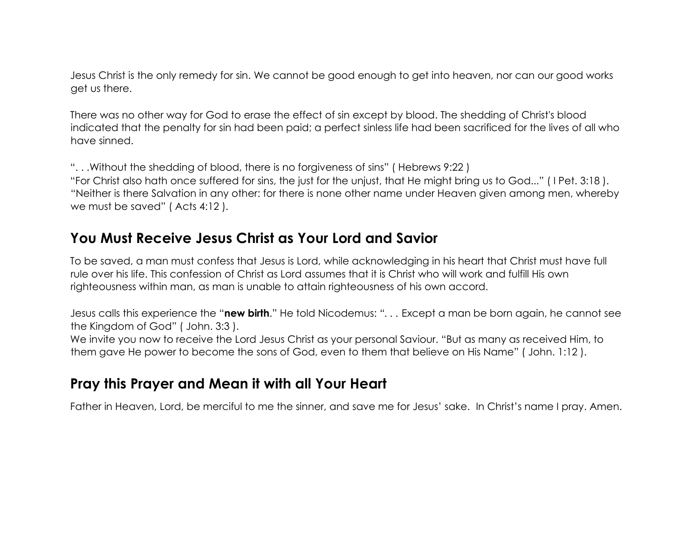Jesus Christ is the only remedy for sin. We cannot be good enough to get into heaven, nor can our good works get us there.

There was no other way for God to erase the effect of sin except by blood. The shedding of Christ's blood indicated that the penalty for sin had been paid; a perfect sinless life had been sacrificed for the lives of all who have sinned.

". . .Without the shedding of blood, there is no forgiveness of sins" ( Hebrews 9:22 ) "For Christ also hath once suffered for sins, the just for the unjust, that He might bring us to God..." ( I Pet. 3:18 ). "Neither is there Salvation in any other: for there is none other name under Heaven given among men, whereby we must be saved" ( Acts 4:12 ).

#### **You Must Receive Jesus Christ as Your Lord and Savior**

To be saved, a man must confess that Jesus is Lord, while acknowledging in his heart that Christ must have full rule over his life. This confession of Christ as Lord assumes that it is Christ who will work and fulfill His own righteousness within man, as man is unable to attain righteousness of his own accord.

Jesus calls this experience the "**new birth**." He told Nicodemus: *". . .* Except a man be born again, he cannot see the Kingdom of God" ( John. 3:3 ).

We invite you now to receive the Lord Jesus Christ as your personal Saviour. "But as many as received Him, to them gave He power to become the sons of God, even to them that believe on His Name" ( John. 1:12 ).

## **Pray this Prayer and Mean it with all Your Heart**

Father in Heaven, Lord, be merciful to me the sinner, and save me for Jesus' sake. In Christ's name I pray. Amen.